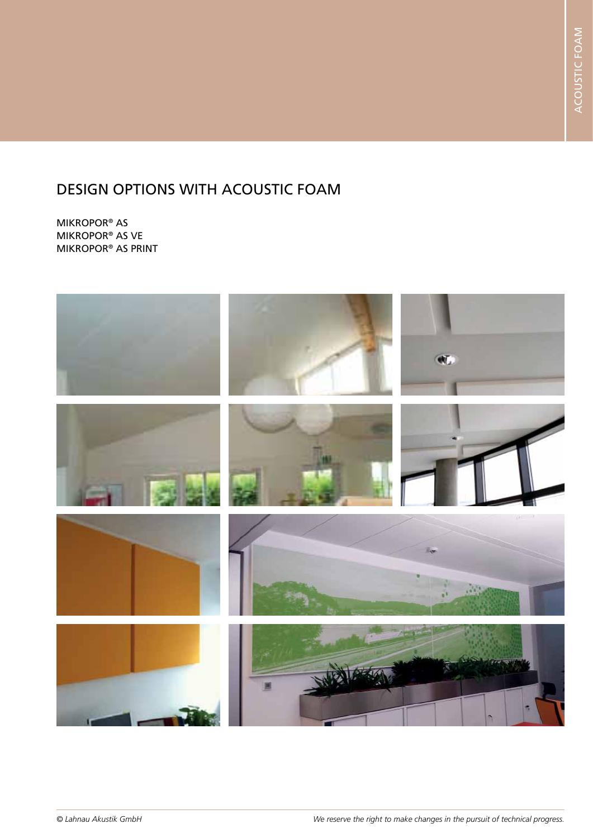MIKROPOR® AS MIKROPOR® AS VE MIKROPOR® AS PRINT

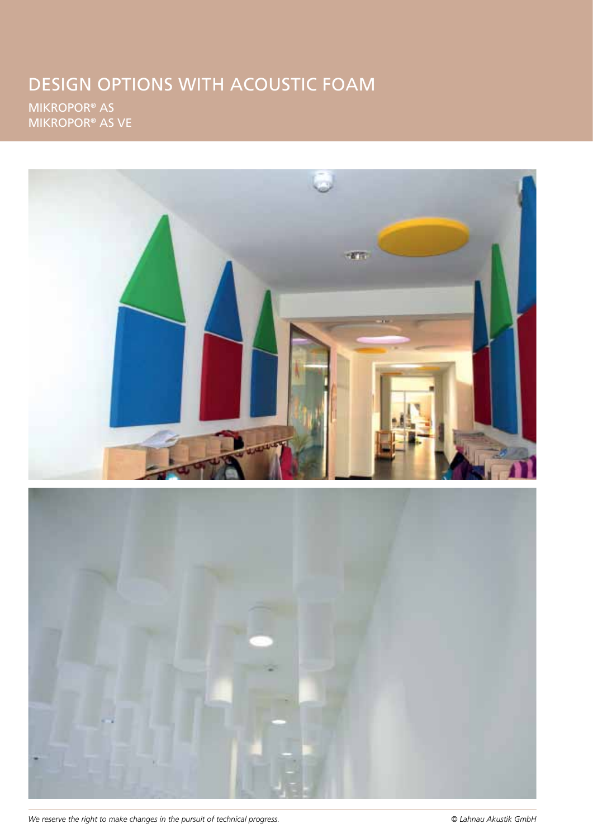MIKROPOR® AS MIKROPOR® AS VE



*We reserve the right to make changes in the pursuit of technical progress. © Lahnau Akustik GmbH*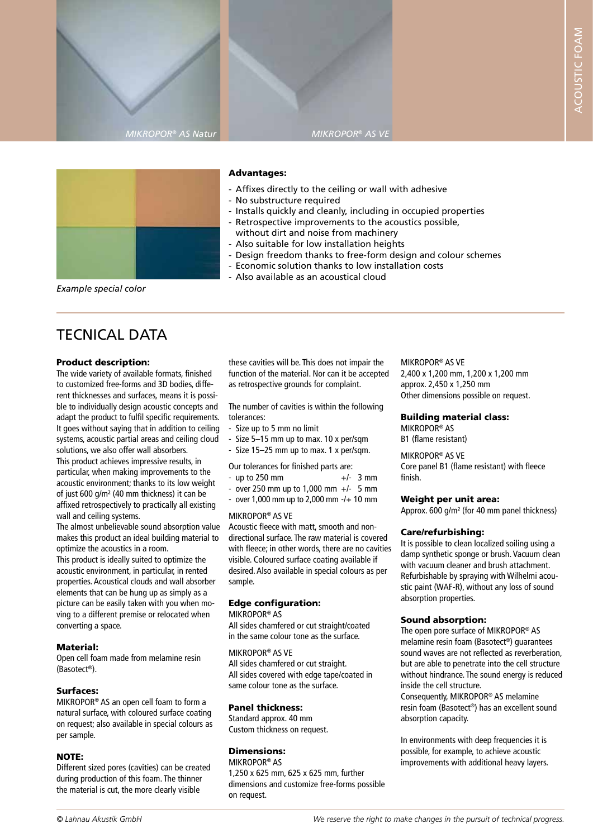





#### Advantages:

- Affixes directly to the ceiling or wall with adhesive
- No substructure required
- Installs quickly and cleanly, including in occupied properties
- Retrospective improvements to the acoustics possible, without dirt and noise from machinery
- Also suitable for low installation heights
- Design freedom thanks to free-form design and colour schemes
- Economic solution thanks to low installation costs
- Also available as an acoustical cloud

*Example special color*

# TECNICAL DATA

#### Product description:

The wide variety of available formats, finished to customized free-forms and 3D bodies, different thicknesses and surfaces, means it is possible to individually design acoustic concepts and adapt the product to fulfil specific requirements. It goes without saying that in addition to ceiling systems, acoustic partial areas and ceiling cloud solutions, we also offer wall absorbers. This product achieves impressive results, in particular, when making improvements to the acoustic environment; thanks to its low weight of just 600 g/m² (40 mm thickness) it can be affixed retrospectively to practically all existing wall and ceiling systems.

The almost unbelievable sound absorption value makes this product an ideal building material to optimize the acoustics in a room.

This product is ideally suited to optimize the acoustic environment, in particular, in rented properties. Acoustical clouds and wall absorber elements that can be hung up as simply as a picture can be easily taken with you when moving to a different premise or relocated when converting a space.

#### Material:

Open cell foam made from melamine resin (Basotect®).

#### Surfaces:

MIKROPOR® AS an open cell foam to form a natural surface, with coloured surface coating on request; also available in special colours as per sample.

#### NOTE:

Different sized pores (cavities) can be created during production of this foam. The thinner the material is cut, the more clearly visible

these cavities will be. This does not impair the function of the material. Nor can it be accepted as retrospective grounds for complaint.

The number of cavities is within the following tolerances:

- Size up to 5 mm no limit
- Size 5–15 mm up to max. 10 x per/sqm
- Size 15–25 mm up to max. 1 x per/sqm.

Our tolerances for finished parts are:

- $-$  up to 250 mm  $+/-$  3 mm
- over 250 mm up to 1,000 mm  $+/-$  5 mm
- over 1,000 mm up to 2,000 mm -/+ 10 mm

#### MIKROPOR® AS VE

Acoustic fleece with matt, smooth and nondirectional surface. The raw material is covered with fleece; in other words, there are no cavities visible. Coloured surface coating available if desired. Also available in special colours as per sample.

#### Edge configuration:

MIKROPOR® AS

All sides chamfered or cut straight/coated in the same colour tone as the surface.

MIKROPOR® AS VE All sides chamfered or cut straight. All sides covered with edge tape/coated in same colour tone as the surface.

#### Panel thickness:

Standard approx. 40 mm Custom thickness on request.

### Dimensions:

MIKROPOR® AS 1,250 x 625 mm, 625 x 625 mm, further dimensions and customize free-forms possible on request.

### MIKROPOR® AS VE

2,400 x 1,200 mm, 1,200 x 1,200 mm approx. 2,450 x 1,250 mm Other dimensions possible on request.

#### Building material class:

MIKROPOR® AS B1 (flame resistant)

MIKROPOR® AS VE

Core panel B1 (flame resistant) with fleece finish.

#### Weight per unit area:

Approx. 600 g/m² (for 40 mm panel thickness)

#### Care/refurbishing:

It is possible to clean localized soiling using a damp synthetic sponge or brush. Vacuum clean with vacuum cleaner and brush attachment. Refurbishable by spraying with Wilhelmi acoustic paint (WAF-R), without any loss of sound absorption properties.

#### Sound absorption:

The open pore surface of MIKROPOR® AS melamine resin foam (Basotect®) guarantees sound waves are not reflected as reverberation, but are able to penetrate into the cell structure without hindrance. The sound energy is reduced inside the cell structure.

Consequently, MIKROPOR® AS melamine resin foam (Basotect®) has an excellent sound absorption capacity.

In environments with deep frequencies it is possible, for example, to achieve acoustic improvements with additional heavy layers.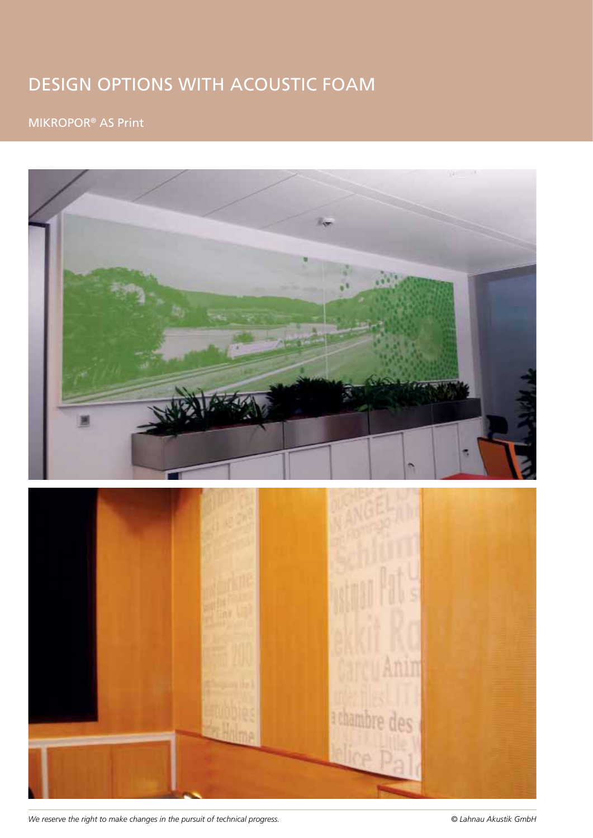# MIKROPOR® AS Print



*We reserve the right to make changes in the pursuit of technical progress. © Lahnau Akustik GmbH*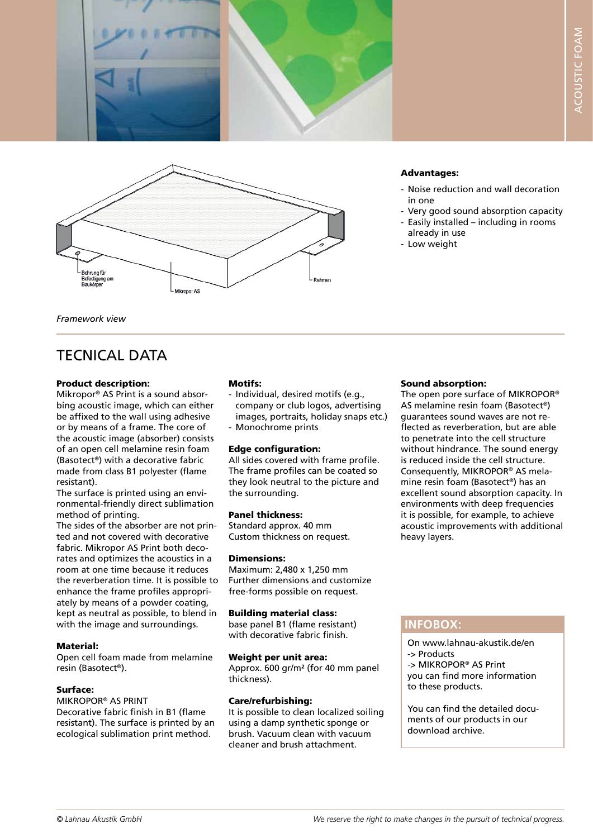



#### Advantages:

- Noise reduction and wall decoration in one
- Very good sound absorption capacity
- Easily installed including in rooms already in use
- Low weight

*Framework view*

## TECNICAL DATA

#### Product description:

Mikropor® AS Print is a sound absorbing acoustic image, which can either be affixed to the wall using adhesive or by means of a frame. The core of the acoustic image (absorber) consists of an open cell melamine resin foam (Basotect®) with a decorative fabric made from class B1 polyester (flame resistant).

The surface is printed using an environmental-friendly direct sublimation method of printing.

The sides of the absorber are not printed and not covered with decorative fabric. Mikropor AS Print both decorates and optimizes the acoustics in a room at one time because it reduces the reverberation time. It is possible to enhance the frame profiles appropriately by means of a powder coating, kept as neutral as possible, to blend in with the image and surroundings.

#### Material:

Open cell foam made from melamine resin (Basotect®).

#### Surface:

MIKROPOR® AS PRINT Decorative fabric finish in B1 (flame resistant). The surface is printed by an ecological sublimation print method.

#### Motifs:

- Individual, desired motifs (e.g., company or club logos, advertising images, portraits, holiday snaps etc.) - Monochrome prints

#### Edge configuration:

All sides covered with frame profile. The frame profiles can be coated so they look neutral to the picture and the surrounding.

#### Panel thickness:

Standard approx. 40 mm Custom thickness on request.

#### Dimensions:

Maximum: 2,480 x 1,250 mm Further dimensions and customize free-forms possible on request.

#### Building material class:

base panel B1 (flame resistant) with decorative fabric finish.

#### Weight per unit area:

Approx. 600 gr/m² (for 40 mm panel thickness).

#### Care/refurbishing:

It is possible to clean localized soiling using a damp synthetic sponge or brush. Vacuum clean with vacuum cleaner and brush attachment.

#### Sound absorption:

The open pore surface of MIKROPOR® AS melamine resin foam (Basotect®) guarantees sound waves are not reflected as reverberation, but are able to penetrate into the cell structure without hindrance. The sound energy is reduced inside the cell structure. Consequently, MIKROPOR® AS melamine resin foam (Basotect®) has an excellent sound absorption capacity. In environments with deep frequencies it is possible, for example, to achieve acoustic improvements with additional heavy layers.

### **INFOBOX:**

On www.lahnau-akustik.de/en -> Products -> MIKROPOR® AS Print you can find more information to these products.

You can find the detailed documents of our products in our download archive.